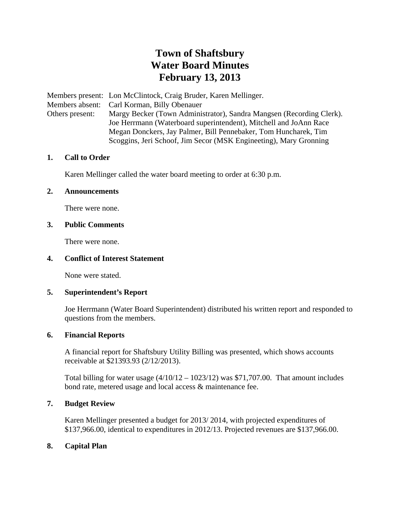# **Town of Shaftsbury Water Board Minutes February 13, 2013**

Members present: Lon McClintock, Craig Bruder, Karen Mellinger. Members absent: Carl Korman, Billy Obenauer Others present: Margy Becker (Town Administrator), Sandra Mangsen (Recording Clerk). Joe Herrmann (Waterboard superintendent), Mitchell and JoAnn Race Megan Donckers, Jay Palmer, Bill Pennebaker, Tom Huncharek, Tim Scoggins, Jeri Schoof, Jim Secor (MSK Engineeting), Mary Gronning

## **1. Call to Order**

Karen Mellinger called the water board meeting to order at 6:30 p.m.

#### **2. Announcements**

There were none.

## **3. Public Comments**

There were none.

#### **4. Conflict of Interest Statement**

None were stated.

#### **5. Superintendent's Report**

Joe Herrmann (Water Board Superintendent) distributed his written report and responded to questions from the members.

#### **6. Financial Reports**

A financial report for Shaftsbury Utility Billing was presented, which shows accounts receivable at \$21393.93 (2/12/2013).

Total billing for water usage  $(4/10/12 - 1023/12)$  was \$71,707.00. That amount includes bond rate, metered usage and local access & maintenance fee.

# **7. Budget Review**

Karen Mellinger presented a budget for 2013/ 2014, with projected expenditures of \$137,966.00, identical to expenditures in 2012/13. Projected revenues are \$137,966.00.

# **8. Capital Plan**